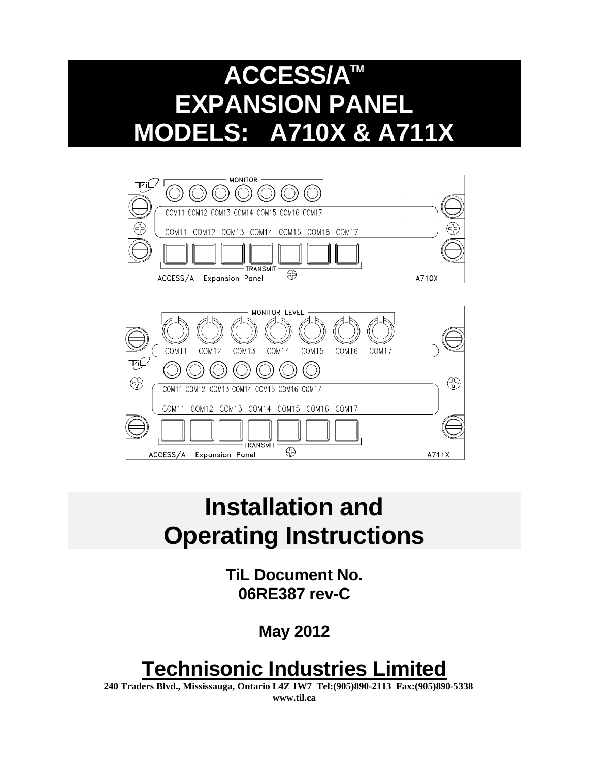# **ACCESS/ATM EXPANSION PANEL MODELS: A710X & A711X**





# **Installation and Operating Instructions**

**TiL Document No. 06RE387 rev-C** 

 **May 2012**

# **Technisonic Industries Limited**

**240 Traders Blvd., Mississauga, Ontario L4Z 1W7 Tel:(905)890-2113 Fax:(905)890-5338 www.til.ca**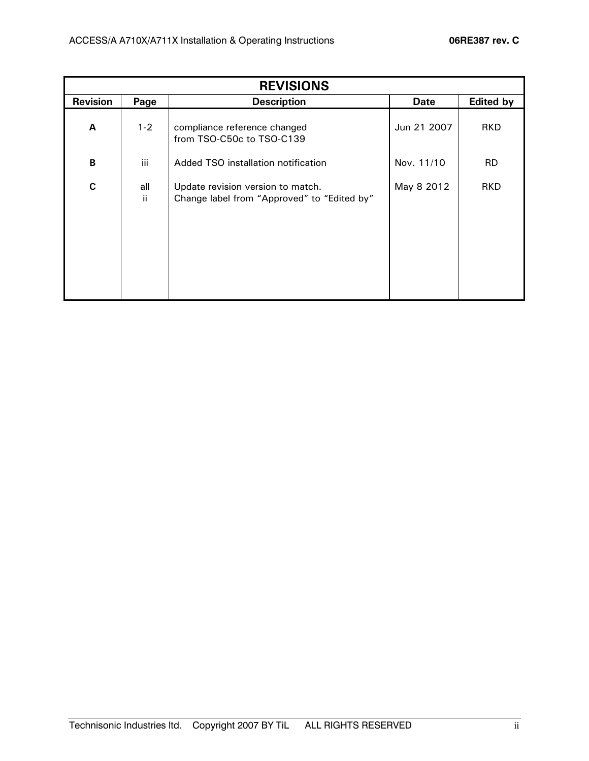| <b>REVISIONS</b> |            |                                                                                  |             |                  |
|------------------|------------|----------------------------------------------------------------------------------|-------------|------------------|
| <b>Revision</b>  | Page       | <b>Description</b>                                                               | <b>Date</b> | <b>Edited by</b> |
| A                | $1 - 2$    | compliance reference changed<br>from TSO-C50c to TSO-C139                        | Jun 21 2007 | <b>RKD</b>       |
| B                | iii        | Added TSO installation notification                                              | Nov. 11/10  | <b>RD</b>        |
| $\mathbf c$      | all<br>ii. | Update revision version to match.<br>Change label from "Approved" to "Edited by" | May 8 2012  | <b>RKD</b>       |
|                  |            |                                                                                  |             |                  |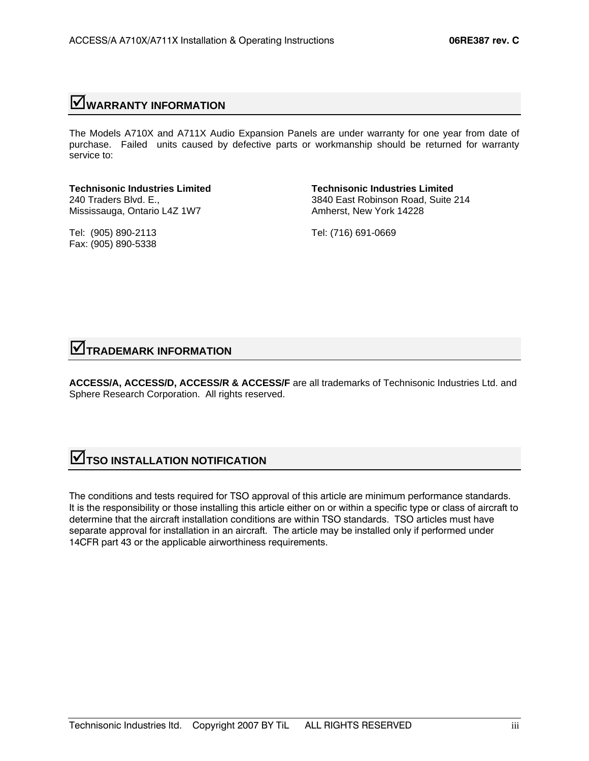# ;**WARRANTY INFORMATION**

The Models A710X and A711X Audio Expansion Panels are under warranty for one year from date of purchase. Failed units caused by defective parts or workmanship should be returned for warranty service to:

**Technisonic Industries Limited Technisonic Industries Limited**  Mississauga, Ontario L4Z 1W7 Amherst, New York 14228

Tel: (905) 890-2113 Tel: (716) 691-0669 Fax: (905) 890-5338

240 Traders Blvd. E., 3840 East Robinson Road, Suite 214

## ;**TRADEMARK INFORMATION**

**ACCESS/A, ACCESS/D, ACCESS/R & ACCESS/F** are all trademarks of Technisonic Industries Ltd. and Sphere Research Corporation. All rights reserved.

# **SUBSEXTION NOTIFICATION**

The conditions and tests required for TSO approval of this article are minimum performance standards. It is the responsibility or those installing this article either on or within a specific type or class of aircraft to determine that the aircraft installation conditions are within TSO standards. TSO articles must have separate approval for installation in an aircraft. The article may be installed only if performed under 14CFR part 43 or the applicable airworthiness requirements.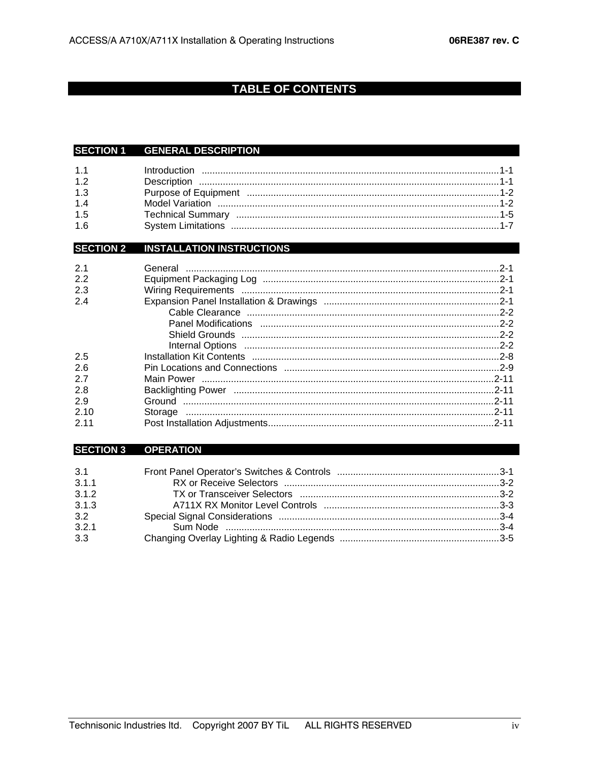# **TABLE OF CONTENTS**

#### SECTION 1 GENERAL DESCRIPTION

| 1.1 |  |
|-----|--|
| 1.2 |  |
| 1.3 |  |
| 1.4 |  |
| 1.5 |  |
| 1.6 |  |

## **SECTION 2 INSTALLATION INSTRUCTIONS**

| 2.1   |  |
|-------|--|
| 2.2   |  |
| 2.3   |  |
| 2.4   |  |
|       |  |
|       |  |
|       |  |
|       |  |
| 2.5   |  |
| 2.6   |  |
| 2.7   |  |
| 2.8   |  |
| 2.9   |  |
| 2.10  |  |
| 2 1 1 |  |

#### SECTION 3 OPERATION

| 3.1   |  |
|-------|--|
| 3.1.1 |  |
| 3.1.2 |  |
| 3.1.3 |  |
| 3.2   |  |
| 3.2.1 |  |
| 3.3   |  |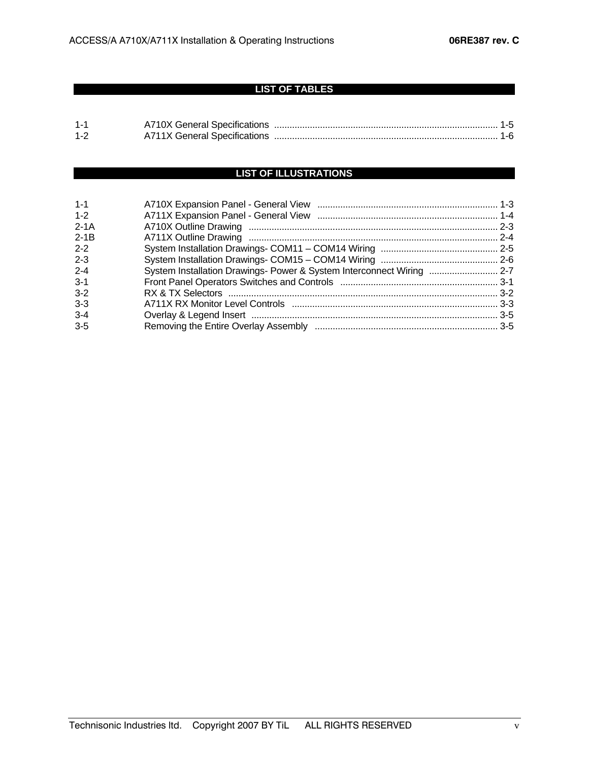## **LIST OF TABLES**

| $1 -$   |                              |  |  |
|---------|------------------------------|--|--|
| $1 - 2$ | A711X General Specifications |  |  |

## **LIST OF ILLUSTRATIONS**

| $1 - 1$ |                                                                       |  |
|---------|-----------------------------------------------------------------------|--|
| $1 - 2$ |                                                                       |  |
| $2-1A$  |                                                                       |  |
| $2-1B$  |                                                                       |  |
| $2 - 2$ |                                                                       |  |
| $2 - 3$ |                                                                       |  |
| $2 - 4$ | System Installation Drawings- Power & System Interconnect Wiring  2-7 |  |
| $3 - 1$ |                                                                       |  |
| $3 - 2$ |                                                                       |  |
| $3 - 3$ |                                                                       |  |
| $3 - 4$ |                                                                       |  |
| $3 - 5$ |                                                                       |  |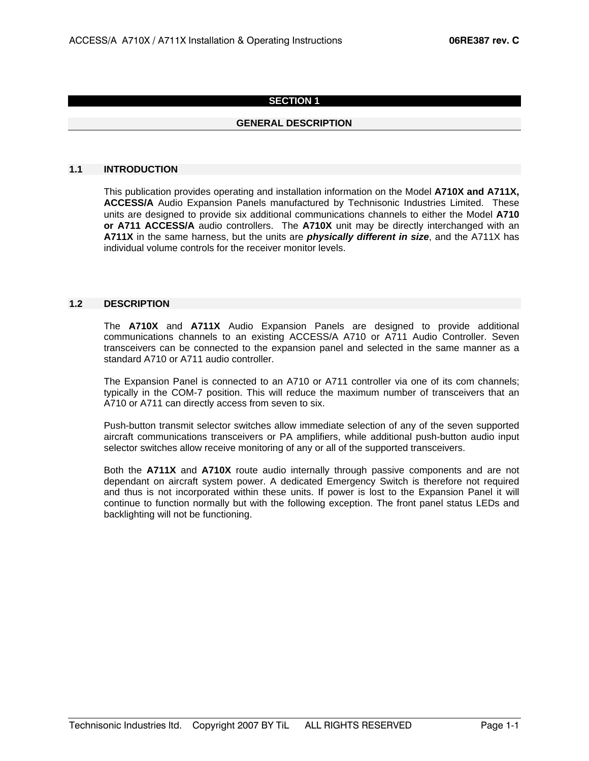#### **SECTION 1**

#### **GENERAL DESCRIPTION**

#### **1.1 INTRODUCTION**

 This publication provides operating and installation information on the Model **A710X and A711X, ACCESS/A** Audio Expansion Panels manufactured by Technisonic Industries Limited. These units are designed to provide six additional communications channels to either the Model **A710 or A711 ACCESS/A** audio controllers. The **A710X** unit may be directly interchanged with an **A711X** in the same harness, but the units are *physically different in size*, and the A711X has individual volume controls for the receiver monitor levels.

#### **1.2 DESCRIPTION**

 The **A710X** and **A711X** Audio Expansion Panels are designed to provide additional communications channels to an existing ACCESS/A A710 or A711 Audio Controller. Seven transceivers can be connected to the expansion panel and selected in the same manner as a standard A710 or A711 audio controller.

The Expansion Panel is connected to an A710 or A711 controller via one of its com channels; typically in the COM-7 position. This will reduce the maximum number of transceivers that an A710 or A711 can directly access from seven to six.

Push-button transmit selector switches allow immediate selection of any of the seven supported aircraft communications transceivers or PA amplifiers, while additional push-button audio input selector switches allow receive monitoring of any or all of the supported transceivers.

 Both the **A711X** and **A710X** route audio internally through passive components and are not dependant on aircraft system power. A dedicated Emergency Switch is therefore not required and thus is not incorporated within these units. If power is lost to the Expansion Panel it will continue to function normally but with the following exception. The front panel status LEDs and backlighting will not be functioning.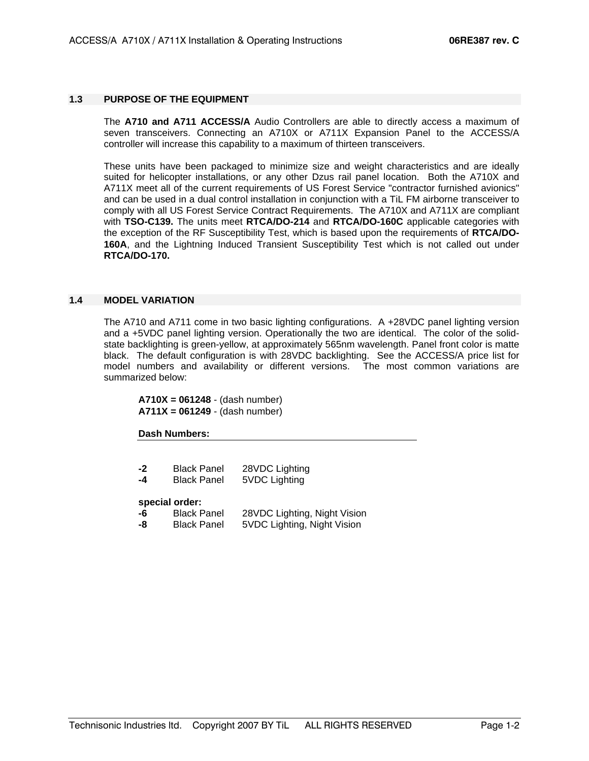#### **1.3 PURPOSE OF THE EQUIPMENT**

 The **A710 and A711 ACCESS/A** Audio Controllers are able to directly access a maximum of seven transceivers. Connecting an A710X or A711X Expansion Panel to the ACCESS/A controller will increase this capability to a maximum of thirteen transceivers.

These units have been packaged to minimize size and weight characteristics and are ideally suited for helicopter installations, or any other Dzus rail panel location. Both the A710X and A711X meet all of the current requirements of US Forest Service "contractor furnished avionics" and can be used in a dual control installation in conjunction with a TiL FM airborne transceiver to comply with all US Forest Service Contract Requirements. The A710X and A711X are compliant with **TSO-C139.** The units meet **RTCA/DO-214** and **RTCA/DO-160C** applicable categories with the exception of the RF Susceptibility Test, which is based upon the requirements of **RTCA/DO-160A**, and the Lightning Induced Transient Susceptibility Test which is not called out under **RTCA/DO-170.**

#### **1.4 MODEL VARIATION**

 The A710 and A711 come in two basic lighting configurations. A +28VDC panel lighting version and a +5VDC panel lighting version. Operationally the two are identical. The color of the solidstate backlighting is green-yellow, at approximately 565nm wavelength. Panel front color is matte black. The default configuration is with 28VDC backlighting. See the ACCESS/A price list for model numbers and availability or different versions. The most common variations are summarized below:

**A710X = 061248** - (dash number) **A711X = 061249** - (dash number)

#### **Dash Numbers:**

| -2<br>-4 | <b>Black Panel</b><br><b>Black Panel</b> | 28VDC Lighting<br>5VDC Lighting |
|----------|------------------------------------------|---------------------------------|
|          | special order:                           |                                 |
| -6       | <b>Black Panel</b>                       | 28VDC Lighting, Night Vision    |
| -8       | <b>Black Panel</b>                       | 5VDC Lighting, Night Vision     |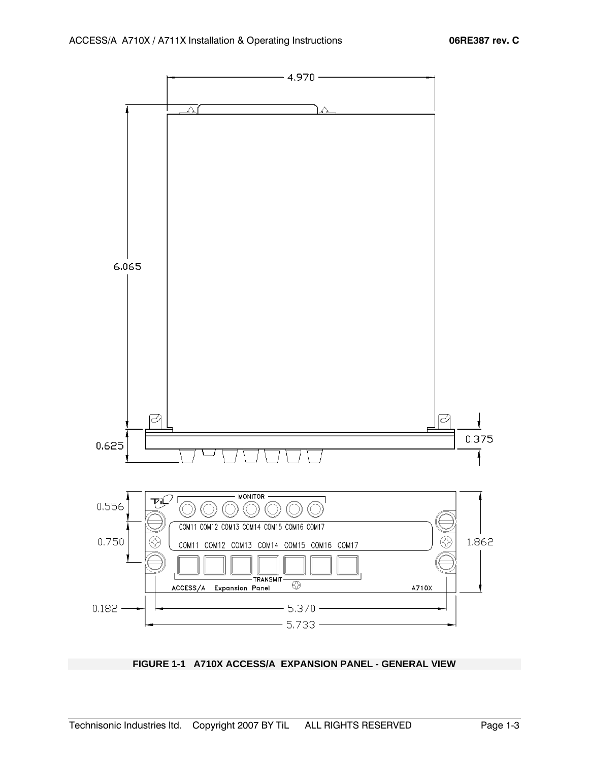

**FIGURE 1-1 A710X ACCESS/A EXPANSION PANEL - GENERAL VIEW**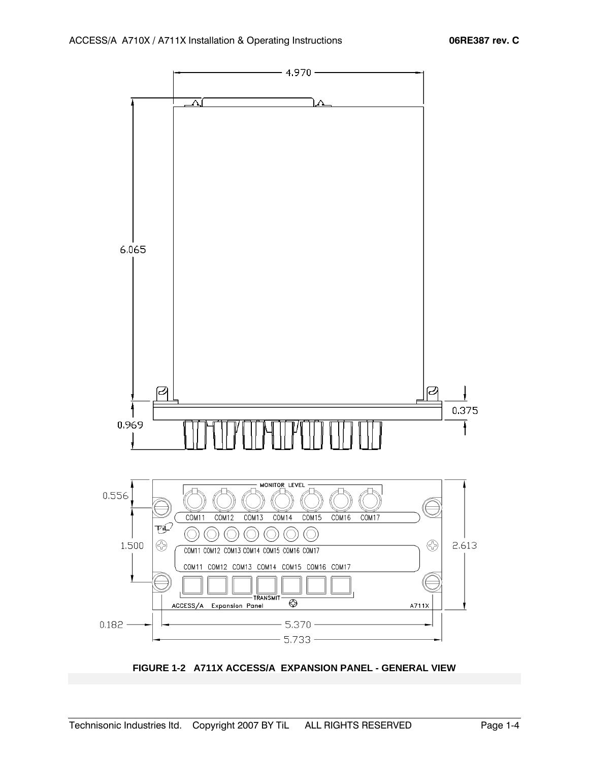

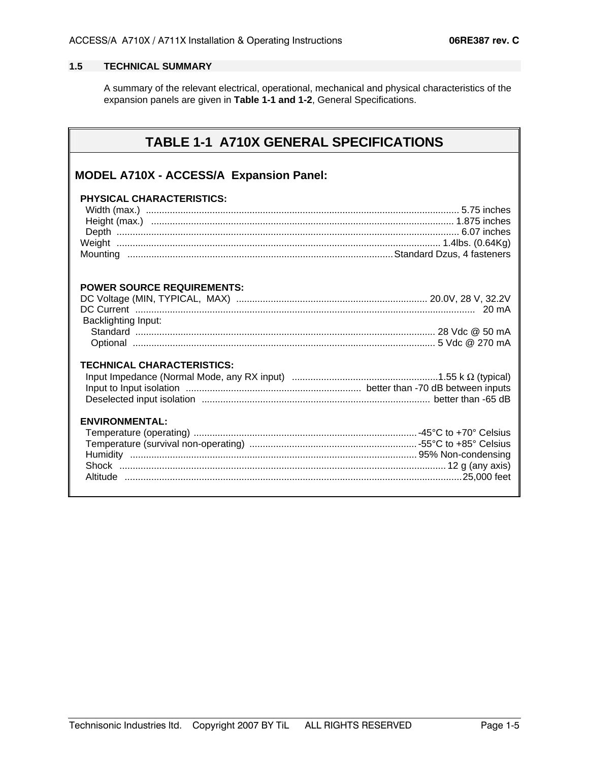#### **1.5 TECHNICAL SUMMARY**

 A summary of the relevant electrical, operational, mechanical and physical characteristics of the expansion panels are given in **Table 1-1 and 1-2**, General Specifications.

# **TABLE 1-1 A710X GENERAL SPECIFICATIONS**

## **MODEL A710X - ACCESS/A Expansion Panel:**

| PHYSICAL CHARACTERISTICS:                                       |  |
|-----------------------------------------------------------------|--|
| <b>POWER SOURCE REQUIREMENTS:</b><br><b>Backlighting Input:</b> |  |
| <b>TECHNICAL CHARACTERISTICS:</b>                               |  |
| <b>ENVIRONMENTAL:</b>                                           |  |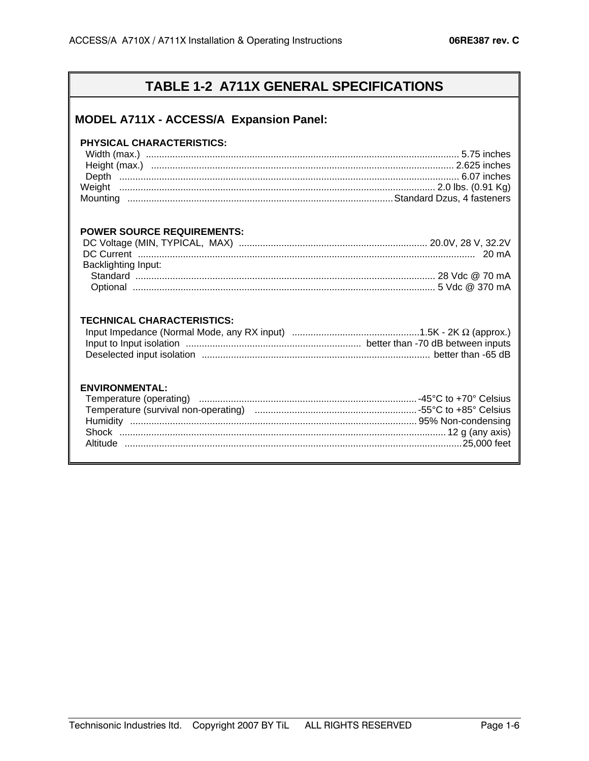# TABLE 1-2 A711X GENERAL SPECIFICATIONS

## MODEL A711X - ACCESS/A Expansion Panel:

#### PHYSICAL CHARACTERISTICS:

#### **POWER SOURCE REQUIREMENTS:**

| <b>Backlighting Input:</b> |  |
|----------------------------|--|
|                            |  |
|                            |  |

#### **TECHNICAL CHARACTERISTICS:**

### **ENVIRONMENTAL:**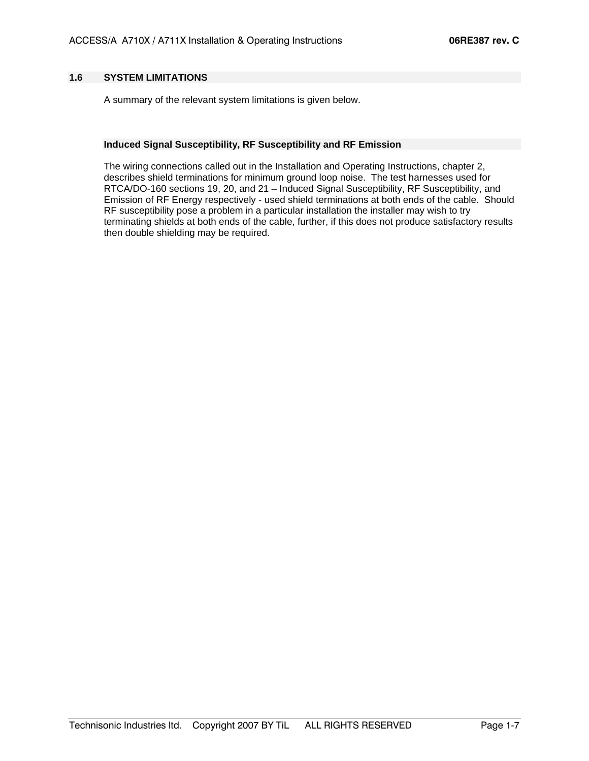#### **1.6 SYSTEM LIMITATIONS**

A summary of the relevant system limitations is given below.

#### **Induced Signal Susceptibility, RF Susceptibility and RF Emission**

The wiring connections called out in the Installation and Operating Instructions, chapter 2, describes shield terminations for minimum ground loop noise. The test harnesses used for RTCA/DO-160 sections 19, 20, and 21 – Induced Signal Susceptibility, RF Susceptibility, and Emission of RF Energy respectively - used shield terminations at both ends of the cable. Should RF susceptibility pose a problem in a particular installation the installer may wish to try terminating shields at both ends of the cable, further, if this does not produce satisfactory results then double shielding may be required.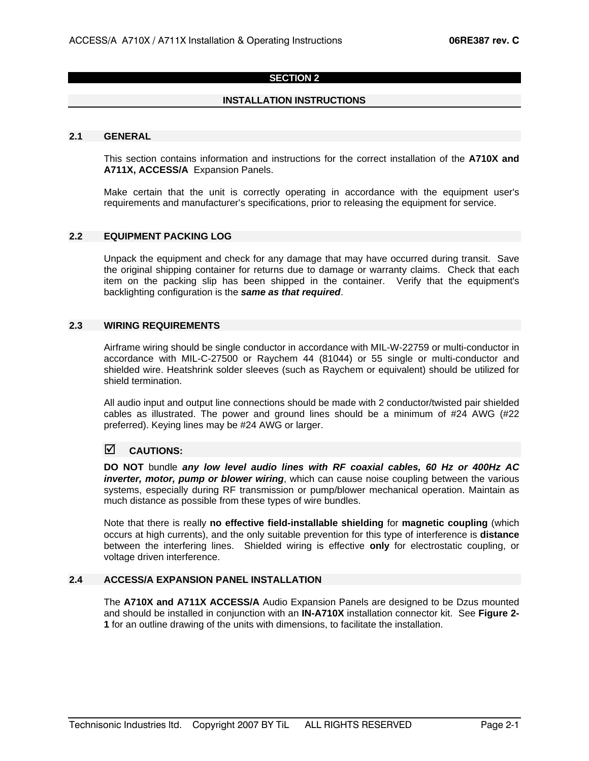#### **SECTION 2**

#### **INSTALLATION INSTRUCTIONS**

#### **2.1 GENERAL**

 This section contains information and instructions for the correct installation of the **A710X and A711X, ACCESS/A** Expansion Panels.

 Make certain that the unit is correctly operating in accordance with the equipment user's requirements and manufacturer's specifications, prior to releasing the equipment for service.

#### **2.2 EQUIPMENT PACKING LOG**

 Unpack the equipment and check for any damage that may have occurred during transit. Save the original shipping container for returns due to damage or warranty claims. Check that each item on the packing slip has been shipped in the container. Verify that the equipment's backlighting configuration is the *same as that required*.

#### **2.3 WIRING REQUIREMENTS**

 Airframe wiring should be single conductor in accordance with MIL-W-22759 or multi-conductor in accordance with MIL-C-27500 or Raychem 44 (81044) or 55 single or multi-conductor and shielded wire. Heatshrink solder sleeves (such as Raychem or equivalent) should be utilized for shield termination.

 All audio input and output line connections should be made with 2 conductor/twisted pair shielded cables as illustrated. The power and ground lines should be a minimum of #24 AWG (#22 preferred). Keying lines may be #24 AWG or larger.

#### ; **CAUTIONS:**

**DO NOT** bundle *any low level audio lines with RF coaxial cables, 60 Hz or 400Hz AC inverter, motor, pump or blower wiring*, which can cause noise coupling between the various systems, especially during RF transmission or pump/blower mechanical operation. Maintain as much distance as possible from these types of wire bundles.

 Note that there is really **no effective field-installable shielding** for **magnetic coupling** (which occurs at high currents), and the only suitable prevention for this type of interference is **distance** between the interfering lines. Shielded wiring is effective **only** for electrostatic coupling, or voltage driven interference.

#### **2.4 ACCESS/A EXPANSION PANEL INSTALLATION**

The **A710X and A711X ACCESS/A** Audio Expansion Panels are designed to be Dzus mounted and should be installed in conjunction with an **IN-A710X** installation connector kit. See **Figure 2- 1** for an outline drawing of the units with dimensions, to facilitate the installation.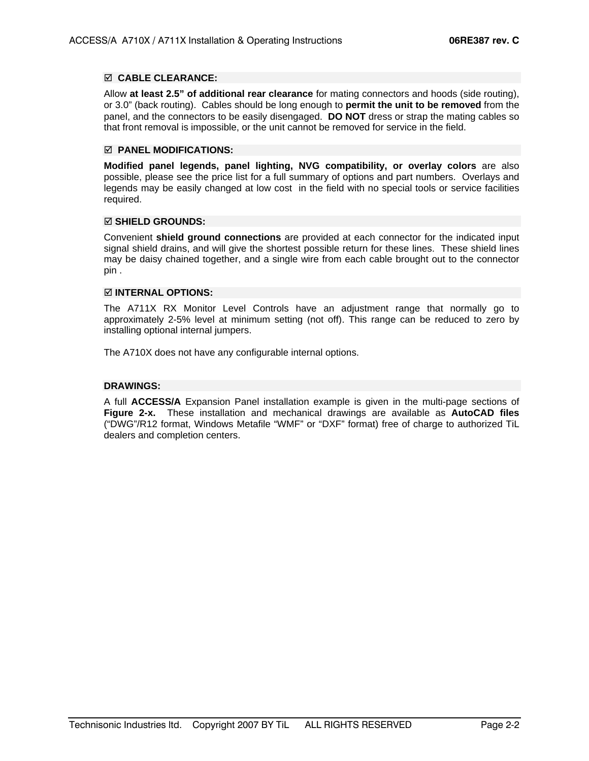#### ; **CABLE CLEARANCE:**

Allow **at least 2.5" of additional rear clearance** for mating connectors and hoods (side routing), or 3.0" (back routing). Cables should be long enough to **permit the unit to be removed** from the panel, and the connectors to be easily disengaged. **DO NOT** dress or strap the mating cables so that front removal is impossible, or the unit cannot be removed for service in the field.

#### ; **PANEL MODIFICATIONS:**

**Modified panel legends, panel lighting, NVG compatibility, or overlay colors** are also possible, please see the price list for a full summary of options and part numbers. Overlays and legends may be easily changed at low cost in the field with no special tools or service facilities required.

#### ; **SHIELD GROUNDS:**

Convenient **shield ground connections** are provided at each connector for the indicated input signal shield drains, and will give the shortest possible return for these lines. These shield lines may be daisy chained together, and a single wire from each cable brought out to the connector pin .

#### ; **INTERNAL OPTIONS:**

The A711X RX Monitor Level Controls have an adjustment range that normally go to approximately 2-5% level at minimum setting (not off). This range can be reduced to zero by installing optional internal jumpers.

The A710X does not have any configurable internal options.

#### **DRAWINGS:**

 A full **ACCESS/A** Expansion Panel installation example is given in the multi-page sections of **Figure 2-x.** These installation and mechanical drawings are available as **AutoCAD files** ("DWG"/R12 format, Windows Metafile "WMF" or "DXF" format) free of charge to authorized TiL dealers and completion centers.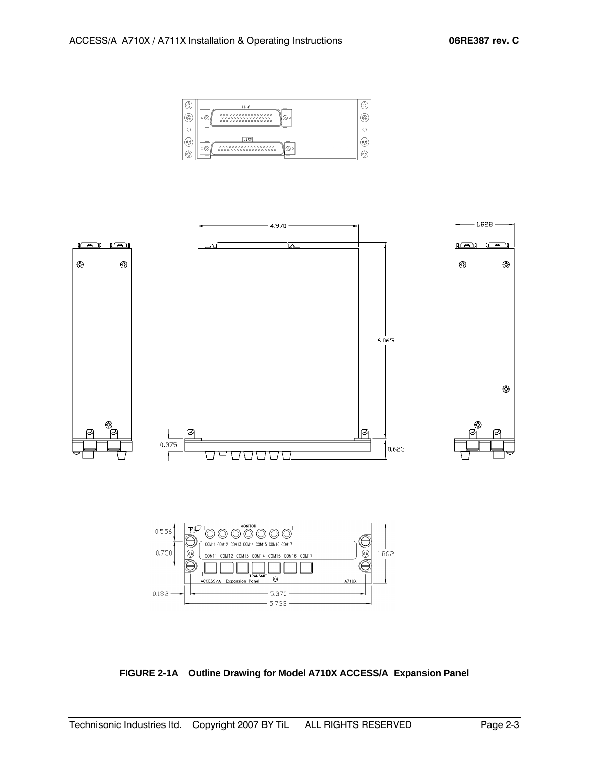



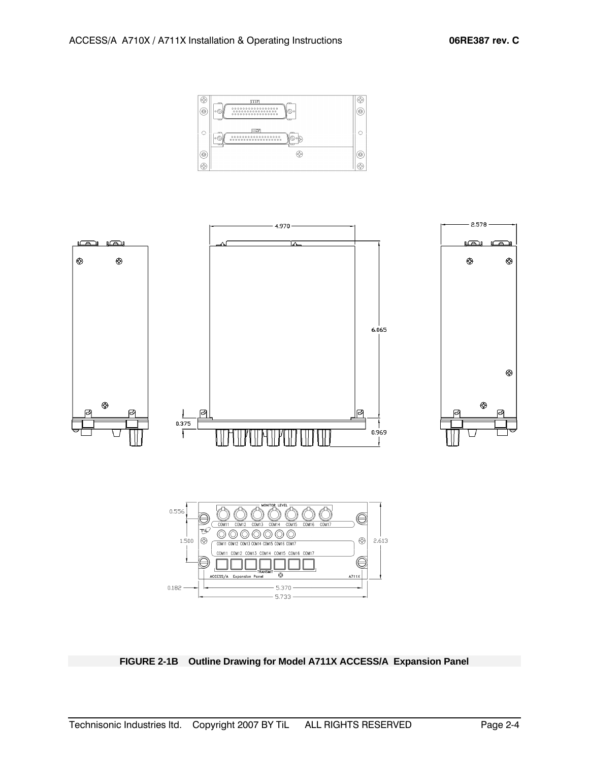



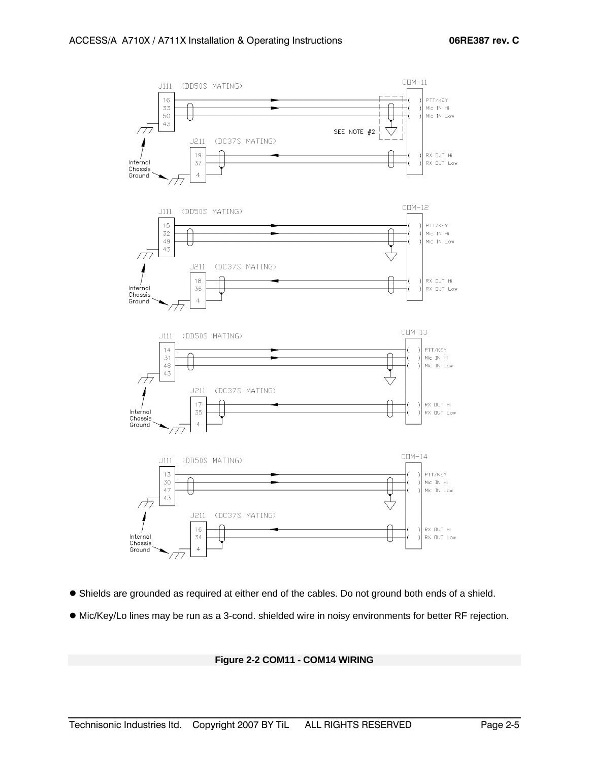

- Shields are grounded as required at either end of the cables. Do not ground both ends of a shield.
- $\bullet$  Mic/Key/Lo lines may be run as a 3-cond. shielded wire in noisy environments for better RF rejection.

#### **Figure 2-2 COM11 - COM14 WIRING**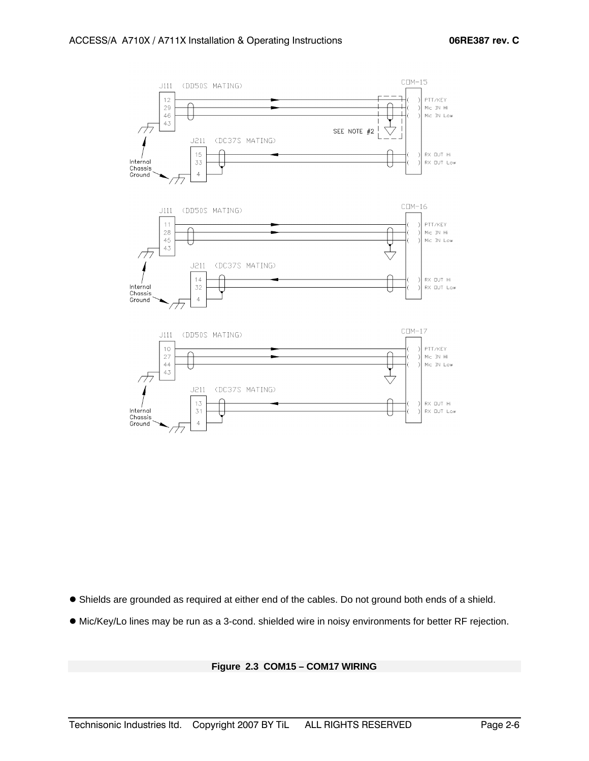

- $\bullet$  Shields are grounded as required at either end of the cables. Do not ground both ends of a shield.
- $\bullet$  Mic/Key/Lo lines may be run as a 3-cond. shielded wire in noisy environments for better RF rejection.

#### **Figure 2.3 COM15 – COM17 WIRING**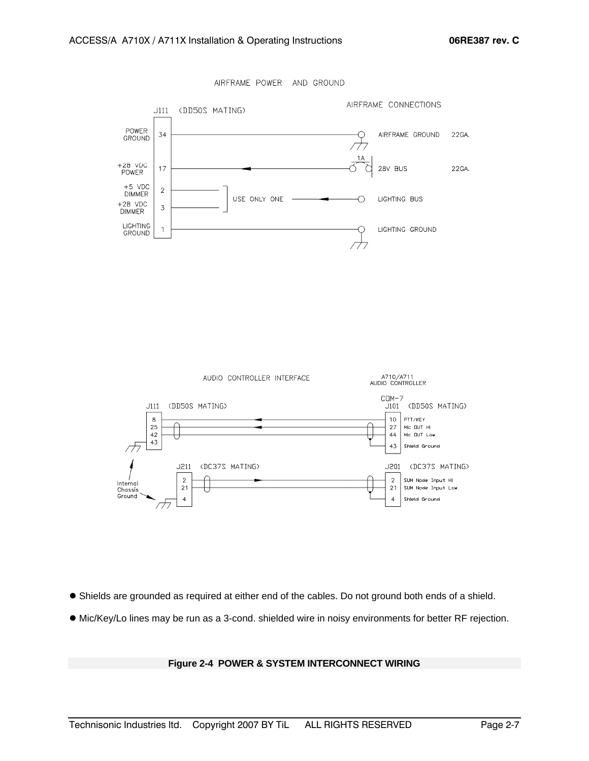



- Shields are grounded as required at either end of the cables. Do not ground both ends of a shield.
- $\bullet$  Mic/Key/Lo lines may be run as a 3-cond. shielded wire in noisy environments for better RF rejection.

#### **Figure 2-4 POWER & SYSTEM INTERCONNECT WIRING**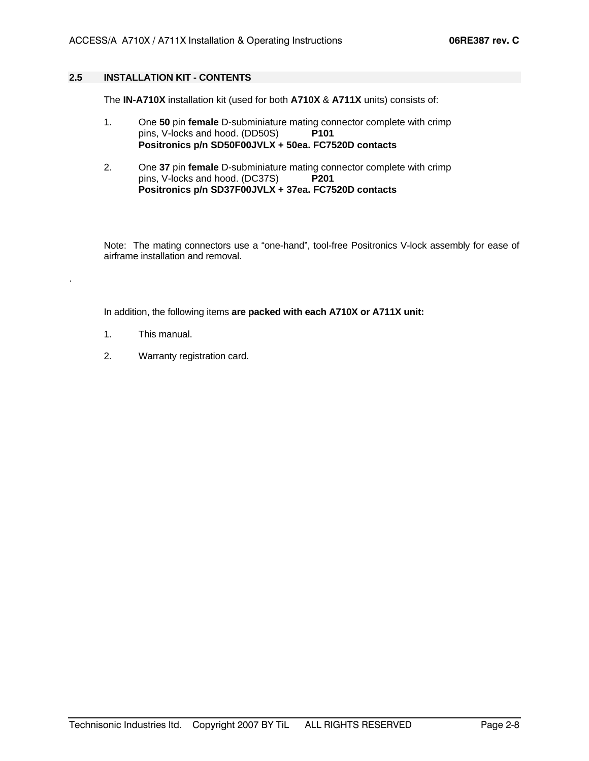#### **2.5 INSTALLATION KIT - CONTENTS**

The **IN-A710X** installation kit (used for both **A710X** & **A711X** units) consists of:

- 1. One **50** pin **female** D-subminiature mating connector complete with crimp pins, V-locks and hood. (DD50S) **P101 Positronics p/n SD50F00JVLX + 50ea. FC7520D contacts**
- 2. One **37** pin **female** D-subminiature mating connector complete with crimp pins, V-locks and hood. (DC37S) **P201 Positronics p/n SD37F00JVLX + 37ea. FC7520D contacts**

Note: The mating connectors use a "one-hand", tool-free Positronics V-lock assembly for ease of airframe installation and removal.

In addition, the following items **are packed with each A710X or A711X unit:** 

1. This manual.

.

2. Warranty registration card.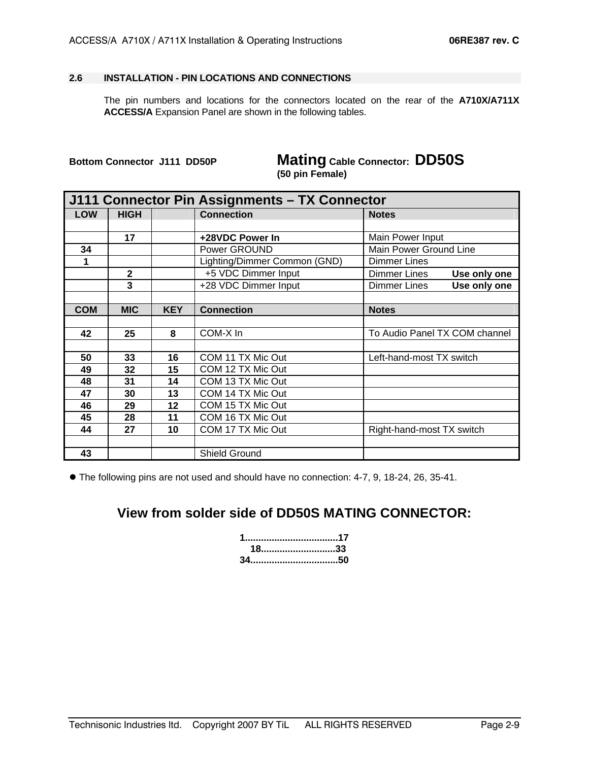#### **2.6 INSTALLATION - PIN LOCATIONS AND CONNECTIONS**

 The pin numbers and locations for the connectors located on the rear of the **A710X/A711X ACCESS/A** Expansion Panel are shown in the following tables.

**Bottom Connector J111 DD50P Mating Cable Connector: DD50S (50 pin Female)**

| J111 Connector Pin Assignments - TX Connector |              |            |                              |                                     |  |  |
|-----------------------------------------------|--------------|------------|------------------------------|-------------------------------------|--|--|
| <b>LOW</b>                                    | <b>HIGH</b>  |            | <b>Connection</b>            | <b>Notes</b>                        |  |  |
|                                               |              |            |                              |                                     |  |  |
|                                               | 17           |            | +28VDC Power In              | Main Power Input                    |  |  |
| 34                                            |              |            | Power GROUND                 | Main Power Ground Line              |  |  |
| 1                                             |              |            | Lighting/Dimmer Common (GND) | <b>Dimmer Lines</b>                 |  |  |
|                                               | $\mathbf{2}$ |            | +5 VDC Dimmer Input          | <b>Dimmer Lines</b><br>Use only one |  |  |
|                                               | 3            |            | +28 VDC Dimmer Input         | <b>Dimmer Lines</b><br>Use only one |  |  |
|                                               |              |            |                              |                                     |  |  |
| <b>COM</b>                                    | <b>MIC</b>   | <b>KEY</b> | <b>Connection</b>            | <b>Notes</b>                        |  |  |
|                                               |              |            |                              |                                     |  |  |
| 42                                            | 25           | 8          | COM-X In                     | To Audio Panel TX COM channel       |  |  |
|                                               |              |            |                              |                                     |  |  |
| 50                                            | 33           | 16         | COM 11 TX Mic Out            | Left-hand-most TX switch            |  |  |
| 49                                            | 32           | 15         | COM 12 TX Mic Out            |                                     |  |  |
| 48                                            | 31           | 14         | COM 13 TX Mic Out            |                                     |  |  |
| 47                                            | 30           | 13         | COM 14 TX Mic Out            |                                     |  |  |
| 46                                            | 29           | 12         | COM 15 TX Mic Out            |                                     |  |  |
| 45                                            | 28           | 11         | COM 16 TX Mic Out            |                                     |  |  |
| 44                                            | 27           | 10         | COM 17 TX Mic Out            | Right-hand-most TX switch           |  |  |
|                                               |              |            |                              |                                     |  |  |
| 43                                            |              |            | Shield Ground                |                                     |  |  |

 $\bullet$  The following pins are not used and should have no connection: 4-7, 9, 18-24, 26, 35-41.

# **View from solder side of DD50S MATING CONNECTOR:**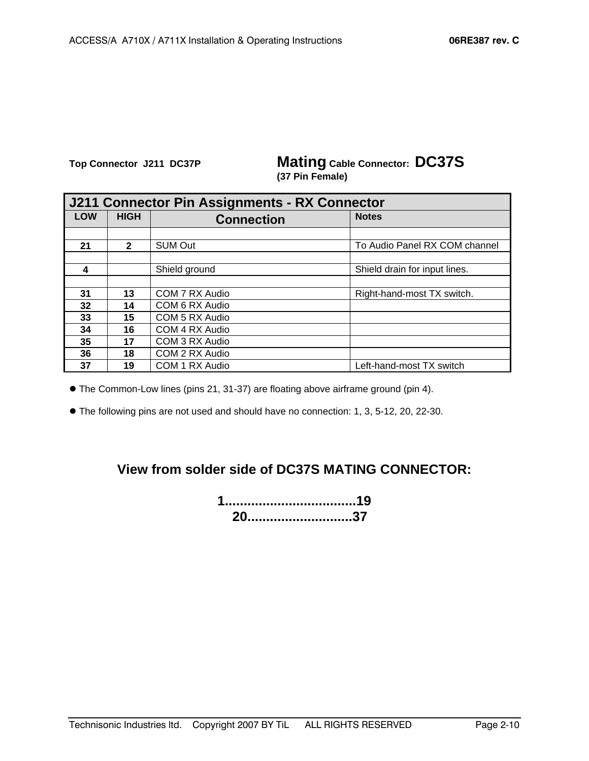**Top Connector J211 DC37P Mating Cable Connector: DC37S (37 Pin Female)**

| J211 Connector Pin Assignments - RX Connector |              |                   |                               |  |  |  |
|-----------------------------------------------|--------------|-------------------|-------------------------------|--|--|--|
| <b>LOW</b>                                    | <b>HIGH</b>  | <b>Connection</b> | <b>Notes</b>                  |  |  |  |
|                                               |              |                   |                               |  |  |  |
| 21                                            | $\mathbf{2}$ | <b>SUM Out</b>    | To Audio Panel RX COM channel |  |  |  |
|                                               |              |                   |                               |  |  |  |
| 4                                             |              | Shield ground     | Shield drain for input lines. |  |  |  |
|                                               |              |                   |                               |  |  |  |
| 31                                            | 13           | COM 7 RX Audio    | Right-hand-most TX switch.    |  |  |  |
| 32                                            | 14           | COM 6 RX Audio    |                               |  |  |  |
| 33                                            | 15           | COM 5 RX Audio    |                               |  |  |  |
| 34                                            | 16           | COM 4 RX Audio    |                               |  |  |  |
| 35                                            | 17           | COM 3 RX Audio    |                               |  |  |  |
| 36                                            | 18           | COM 2 RX Audio    |                               |  |  |  |
| 37                                            | 19           | COM 1 RX Audio    | Left-hand-most TX switch      |  |  |  |

 $\bullet$  The Common-Low lines (pins 21, 31-37) are floating above airframe ground (pin 4).

 $\bullet$  The following pins are not used and should have no connection: 1, 3, 5-12, 20, 22-30.

# **View from solder side of DC37S MATING CONNECTOR:**

**1...................................19 20............................37**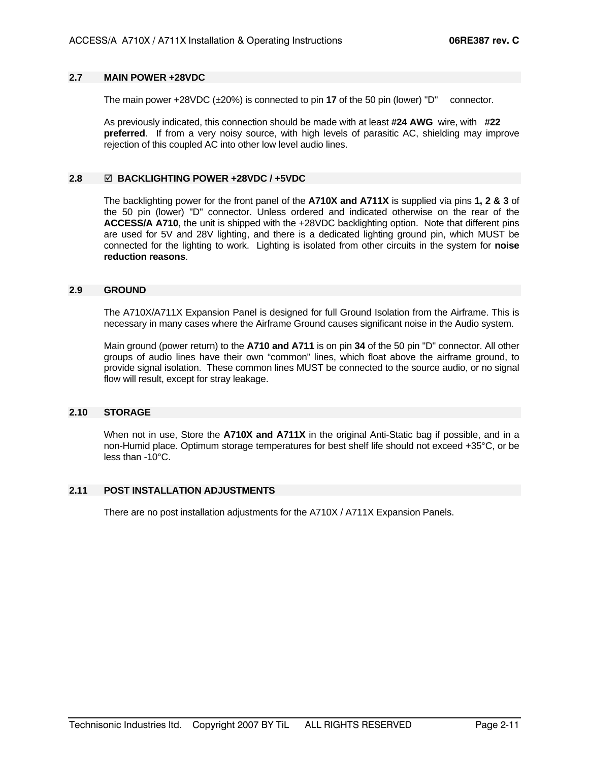#### **2.7 MAIN POWER +28VDC**

The main power +28VDC (±20%) is connected to pin **17** of the 50 pin (lower) "D" connector.

As previously indicated, this connection should be made with at least **#24 AWG** wire, with **#22 preferred**. If from a very noisy source, with high levels of parasitic AC, shielding may improve rejection of this coupled AC into other low level audio lines.

#### **2.8** ; **BACKLIGHTING POWER +28VDC / +5VDC**

 The backlighting power for the front panel of the **A710X and A711X** is supplied via pins **1, 2 & 3** of the 50 pin (lower) "D" connector. Unless ordered and indicated otherwise on the rear of the **ACCESS/A A710**, the unit is shipped with the +28VDC backlighting option. Note that different pins are used for 5V and 28V lighting, and there is a dedicated lighting ground pin, which MUST be connected for the lighting to work. Lighting is isolated from other circuits in the system for **noise reduction reasons**.

#### **2.9 GROUND**

 The A710X/A711X Expansion Panel is designed for full Ground Isolation from the Airframe. This is necessary in many cases where the Airframe Ground causes significant noise in the Audio system.

Main ground (power return) to the **A710 and A711** is on pin **34** of the 50 pin "D" connector. All other groups of audio lines have their own "common" lines, which float above the airframe ground, to provide signal isolation. These common lines MUST be connected to the source audio, or no signal flow will result, except for stray leakage.

#### **2.10 STORAGE**

When not in use, Store the **A710X and A711X** in the original Anti-Static bag if possible, and in a non-Humid place. Optimum storage temperatures for best shelf life should not exceed +35°C, or be less than -10°C.

#### **2.11 POST INSTALLATION ADJUSTMENTS**

There are no post installation adjustments for the A710X / A711X Expansion Panels.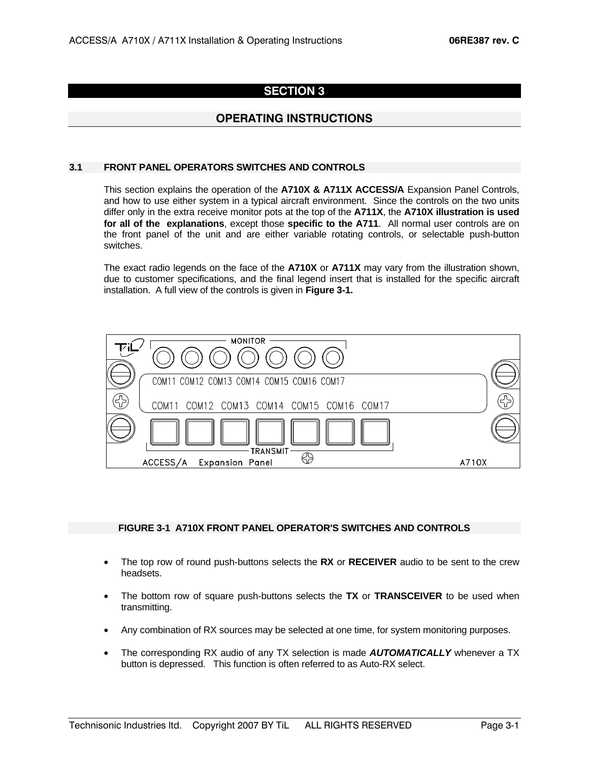## **SECTION 3**

### **OPERATING INSTRUCTIONS**

#### **3.1 FRONT PANEL OPERATORS SWITCHES AND CONTROLS**

 This section explains the operation of the **A710X & A711X ACCESS/A** Expansion Panel Controls, and how to use either system in a typical aircraft environment. Since the controls on the two units differ only in the extra receive monitor pots at the top of the **A711X**, the **A710X illustration is used for all of the explanations**, except those **specific to the A711**. All normal user controls are on the front panel of the unit and are either variable rotating controls, or selectable push-button switches.

 The exact radio legends on the face of the **A710X** or **A711X** may vary from the illustration shown, due to customer specifications, and the final legend insert that is installed for the specific aircraft installation. A full view of the controls is given in **Figure 3-1.**



#### **FIGURE 3-1 A710X FRONT PANEL OPERATOR'S SWITCHES AND CONTROLS**

- The top row of round push-buttons selects the **RX** or **RECEIVER** audio to be sent to the crew headsets.
- The bottom row of square push-buttons selects the **TX** or **TRANSCEIVER** to be used when transmitting.
- Any combination of RX sources may be selected at one time, for system monitoring purposes.
- The corresponding RX audio of any TX selection is made *AUTOMATICALLY* whenever a TX button is depressed. This function is often referred to as Auto-RX select.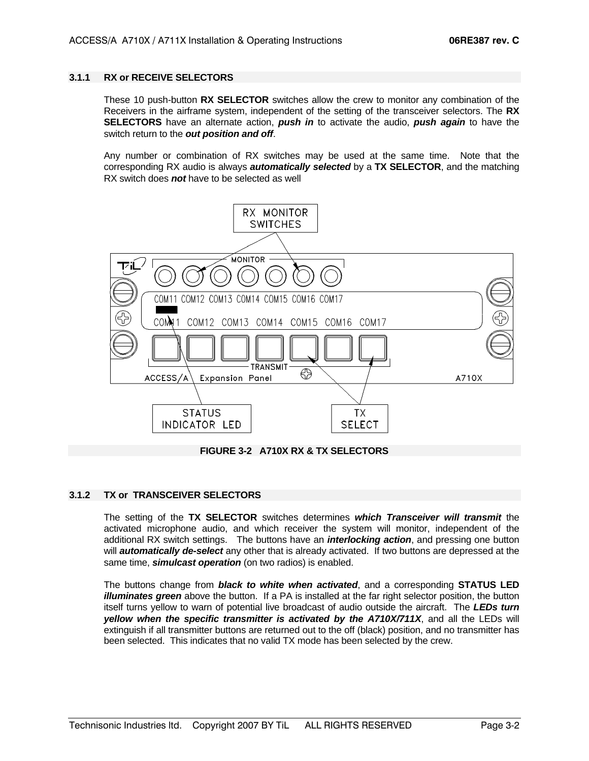#### **3.1.1 RX or RECEIVE SELECTORS**

 These 10 push-button **RX SELECTOR** switches allow the crew to monitor any combination of the Receivers in the airframe system, independent of the setting of the transceiver selectors. The **RX SELECTORS** have an alternate action, *push in* to activate the audio, *push again* to have the switch return to the *out position and off*.

 Any number or combination of RX switches may be used at the same time. Note that the corresponding RX audio is always *automatically selected* by a **TX SELECTOR**, and the matching RX switch does *not* have to be selected as well





#### **3.1.2 TX or TRANSCEIVER SELECTORS**

The setting of the **TX SELECTOR** switches determines *which Transceiver will transmit* the activated microphone audio, and which receiver the system will monitor, independent of the additional RX switch settings. The buttons have an *interlocking action*, and pressing one button will *automatically de-select* any other that is already activated. If two buttons are depressed at the same time, *simulcast operation* (on two radios) is enabled.

The buttons change from *black to white when activated*, and a corresponding **STATUS LED** *illuminates green* above the button. If a PA is installed at the far right selector position, the button itself turns yellow to warn of potential live broadcast of audio outside the aircraft. The *LEDs turn yellow when the specific transmitter is activated by the A710X/711X*, and all the LEDs will extinguish if all transmitter buttons are returned out to the off (black) position, and no transmitter has been selected. This indicates that no valid TX mode has been selected by the crew.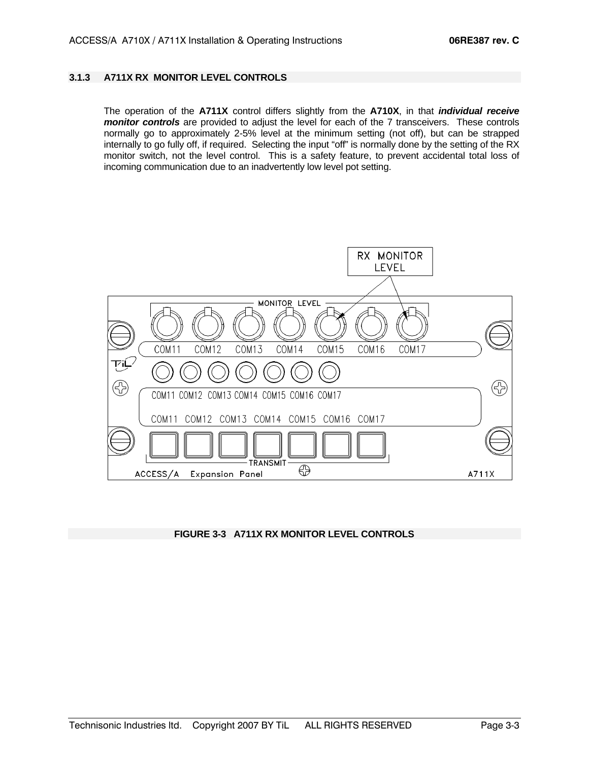#### **3.1.3 A711X RX MONITOR LEVEL CONTROLS**

The operation of the **A711X** control differs slightly from the **A710X**, in that *individual receive monitor controls* are provided to adjust the level for each of the 7 transceivers. These controls normally go to approximately 2-5% level at the minimum setting (not off), but can be strapped internally to go fully off, if required. Selecting the input "off" is normally done by the setting of the RX monitor switch, not the level control. This is a safety feature, to prevent accidental total loss of incoming communication due to an inadvertently low level pot setting.



#### **FIGURE 3-3 A711X RX MONITOR LEVEL CONTROLS**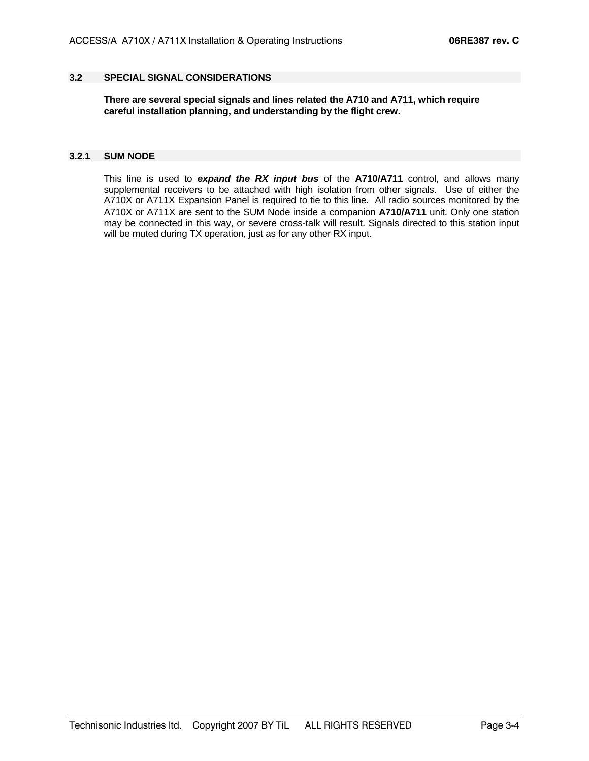#### **3.2 SPECIAL SIGNAL CONSIDERATIONS**

 **There are several special signals and lines related the A710 and A711, which require careful installation planning, and understanding by the flight crew.** 

#### **3.2.1 SUM NODE**

 This line is used to *expand the RX input bus* of the **A710/A711** control, and allows many supplemental receivers to be attached with high isolation from other signals. Use of either the A710X or A711X Expansion Panel is required to tie to this line. All radio sources monitored by the A710X or A711X are sent to the SUM Node inside a companion **A710/A711** unit. Only one station may be connected in this way, or severe cross-talk will result. Signals directed to this station input will be muted during TX operation, just as for any other RX input.